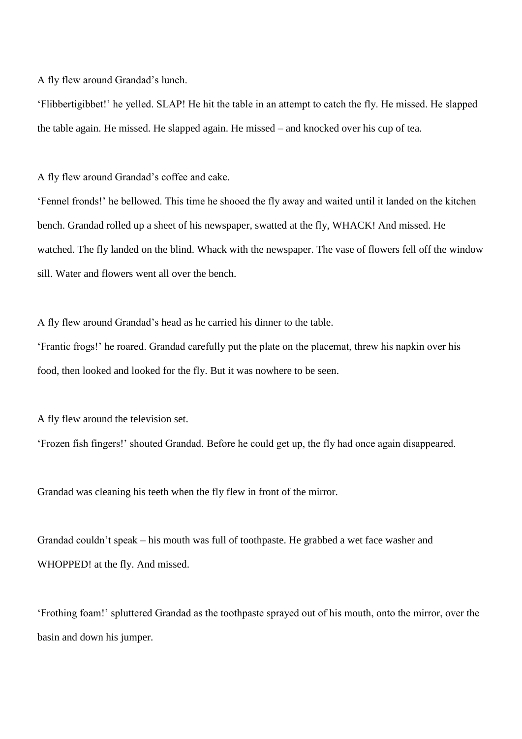A fly flew around Grandad's lunch.

'Flibbertigibbet!' he yelled. SLAP! He hit the table in an attempt to catch the fly. He missed. He slapped the table again. He missed. He slapped again. He missed – and knocked over his cup of tea.

A fly flew around Grandad's coffee and cake.

'Fennel fronds!' he bellowed. This time he shooed the fly away and waited until it landed on the kitchen bench. Grandad rolled up a sheet of his newspaper, swatted at the fly, WHACK! And missed. He watched. The fly landed on the blind. Whack with the newspaper. The vase of flowers fell off the window sill. Water and flowers went all over the bench.

A fly flew around Grandad's head as he carried his dinner to the table.

'Frantic frogs!' he roared. Grandad carefully put the plate on the placemat, threw his napkin over his food, then looked and looked for the fly. But it was nowhere to be seen.

A fly flew around the television set.

'Frozen fish fingers!' shouted Grandad. Before he could get up, the fly had once again disappeared.

Grandad was cleaning his teeth when the fly flew in front of the mirror.

Grandad couldn't speak – his mouth was full of toothpaste. He grabbed a wet face washer and WHOPPED! at the fly. And missed.

'Frothing foam!' spluttered Grandad as the toothpaste sprayed out of his mouth, onto the mirror, over the basin and down his jumper.